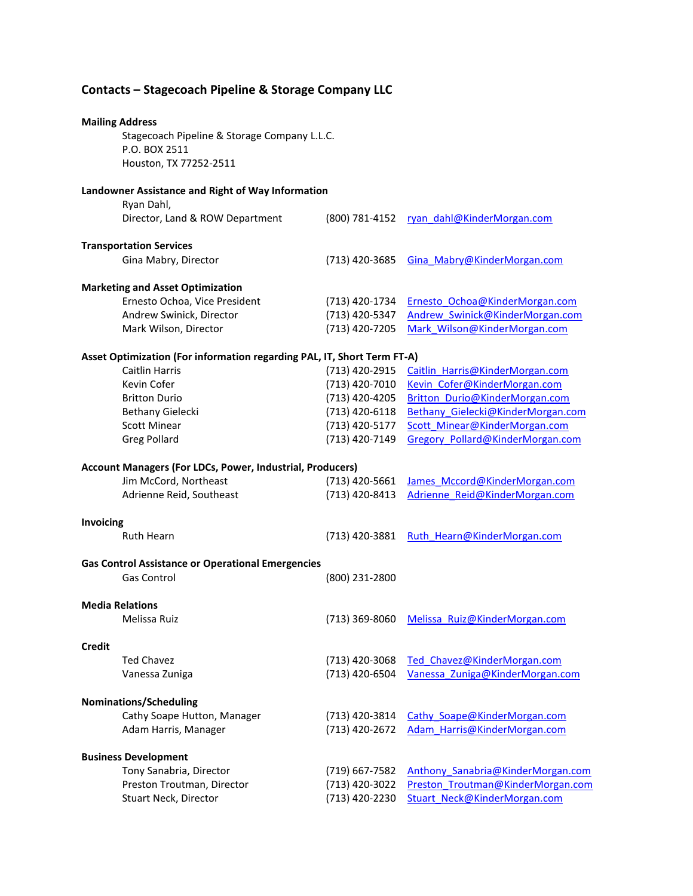# **Contacts – Stagecoach Pipeline & Storage Company LLC**

| <b>Mailing Address</b>                                   |                                                                         |                |                                   |  |  |  |
|----------------------------------------------------------|-------------------------------------------------------------------------|----------------|-----------------------------------|--|--|--|
|                                                          | Stagecoach Pipeline & Storage Company L.L.C.                            |                |                                   |  |  |  |
|                                                          | P.O. BOX 2511<br>Houston, TX 77252-2511                                 |                |                                   |  |  |  |
|                                                          |                                                                         |                |                                   |  |  |  |
|                                                          | Landowner Assistance and Right of Way Information                       |                |                                   |  |  |  |
|                                                          | Ryan Dahl,                                                              |                |                                   |  |  |  |
|                                                          | Director, Land & ROW Department                                         | (800) 781-4152 | ryan dahl@KinderMorgan.com        |  |  |  |
| <b>Transportation Services</b>                           |                                                                         |                |                                   |  |  |  |
|                                                          | Gina Mabry, Director                                                    | (713) 420-3685 | Gina Mabry@KinderMorgan.com       |  |  |  |
|                                                          | <b>Marketing and Asset Optimization</b>                                 |                |                                   |  |  |  |
|                                                          | Ernesto Ochoa, Vice President                                           | (713) 420-1734 | Ernesto Ochoa@KinderMorgan.com    |  |  |  |
|                                                          | Andrew Swinick, Director                                                | (713) 420-5347 | Andrew Swinick@KinderMorgan.com   |  |  |  |
|                                                          | Mark Wilson, Director                                                   | (713) 420-7205 | Mark Wilson@KinderMorgan.com      |  |  |  |
|                                                          | Asset Optimization (For information regarding PAL, IT, Short Term FT-A) |                |                                   |  |  |  |
|                                                          | <b>Caitlin Harris</b>                                                   | (713) 420-2915 | Caitlin Harris@KinderMorgan.com   |  |  |  |
|                                                          | Kevin Cofer                                                             | (713) 420-7010 | Kevin Cofer@KinderMorgan.com      |  |  |  |
|                                                          | <b>Britton Durio</b>                                                    | (713) 420-4205 | Britton Durio@KinderMorgan.com    |  |  |  |
|                                                          | Bethany Gielecki                                                        | (713) 420-6118 | Bethany Gielecki@KinderMorgan.com |  |  |  |
|                                                          | <b>Scott Minear</b>                                                     | (713) 420-5177 | Scott Minear@KinderMorgan.com     |  |  |  |
|                                                          | <b>Greg Pollard</b>                                                     | (713) 420-7149 | Gregory Pollard@KinderMorgan.com  |  |  |  |
|                                                          |                                                                         |                |                                   |  |  |  |
|                                                          | <b>Account Managers (For LDCs, Power, Industrial, Producers)</b>        |                |                                   |  |  |  |
|                                                          | Jim McCord, Northeast                                                   | (713) 420-5661 | James Mccord@KinderMorgan.com     |  |  |  |
|                                                          | Adrienne Reid, Southeast                                                | (713) 420-8413 | Adrienne Reid@KinderMorgan.com    |  |  |  |
| Invoicing                                                |                                                                         |                |                                   |  |  |  |
|                                                          | <b>Ruth Hearn</b>                                                       | (713) 420-3881 | Ruth Hearn@KinderMorgan.com       |  |  |  |
|                                                          |                                                                         |                |                                   |  |  |  |
| <b>Gas Control Assistance or Operational Emergencies</b> |                                                                         |                |                                   |  |  |  |
|                                                          | <b>Gas Control</b>                                                      | (800) 231-2800 |                                   |  |  |  |
| <b>Media Relations</b>                                   |                                                                         |                |                                   |  |  |  |
|                                                          | Melissa Ruiz                                                            | (713) 369-8060 | Melissa Ruiz@KinderMorgan.com     |  |  |  |
| <b>Credit</b>                                            |                                                                         |                |                                   |  |  |  |
|                                                          | <b>Ted Chavez</b>                                                       | (713) 420-3068 | Ted Chavez@KinderMorgan.com       |  |  |  |
|                                                          | Vanessa Zuniga                                                          | (713) 420-6504 | Vanessa Zuniga@KinderMorgan.com   |  |  |  |
|                                                          |                                                                         |                |                                   |  |  |  |
| <b>Nominations/Scheduling</b>                            |                                                                         |                |                                   |  |  |  |
|                                                          | Cathy Soape Hutton, Manager                                             | (713) 420-3814 | Cathy Soape@KinderMorgan.com      |  |  |  |
|                                                          | Adam Harris, Manager                                                    | (713) 420-2672 | Adam Harris@KinderMorgan.com      |  |  |  |
| <b>Business Development</b>                              |                                                                         |                |                                   |  |  |  |
|                                                          | Tony Sanabria, Director                                                 | (719) 667-7582 | Anthony Sanabria@KinderMorgan.com |  |  |  |
|                                                          | Preston Troutman, Director                                              | (713) 420-3022 | Preston Troutman@KinderMorgan.com |  |  |  |
|                                                          | Stuart Neck, Director                                                   | (713) 420-2230 | Stuart Neck@KinderMorgan.com      |  |  |  |